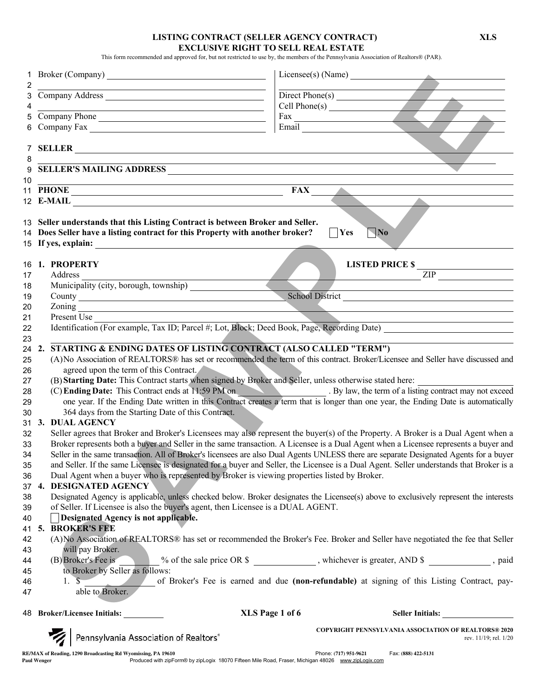### LISTING CONTRACT (SELLER AGENCY CONTRACT) XLS EXCLUSIVE RIGHT TO SELL REAL ESTATE

This form recommended and approved for, but not restricted to use by, the members of the Pennsylvania Association of Realtors® (PAR).

|                 | 4<br>5 Company Phone                                                                                                                                                                                                      |                                                                                                                                                                                                                                   |  |  |
|-----------------|---------------------------------------------------------------------------------------------------------------------------------------------------------------------------------------------------------------------------|-----------------------------------------------------------------------------------------------------------------------------------------------------------------------------------------------------------------------------------|--|--|
|                 |                                                                                                                                                                                                                           | Fax Email Land Contract of the Contract of the Contract of the Contract of the Contract of the Contract of the Contract of the Contract of the Contract of the Contract of the Contract of the Contract of the Contract of the    |  |  |
|                 |                                                                                                                                                                                                                           |                                                                                                                                                                                                                                   |  |  |
|                 | 7 SELLER                                                                                                                                                                                                                  |                                                                                                                                                                                                                                   |  |  |
|                 | $8 \overline{\text{SELECT'S MALING ADDRESS}}$                                                                                                                                                                             |                                                                                                                                                                                                                                   |  |  |
|                 |                                                                                                                                                                                                                           |                                                                                                                                                                                                                                   |  |  |
| 10 <sup>°</sup> |                                                                                                                                                                                                                           |                                                                                                                                                                                                                                   |  |  |
|                 |                                                                                                                                                                                                                           | $FAX$ <sub>_____</sub><br>$\blacktriangle$ and $\blacktriangle$ and $\blacktriangle$ and $\blacktriangle$ and $\blacktriangle$                                                                                                    |  |  |
|                 |                                                                                                                                                                                                                           |                                                                                                                                                                                                                                   |  |  |
|                 | 13 Seller understands that this Listing Contract is between Broker and Seller.                                                                                                                                            |                                                                                                                                                                                                                                   |  |  |
|                 | 14 Does Seller have a listing contract for this Property with another broker?                                                                                                                                             | $\nabla$ No<br> Yes                                                                                                                                                                                                               |  |  |
|                 |                                                                                                                                                                                                                           |                                                                                                                                                                                                                                   |  |  |
|                 |                                                                                                                                                                                                                           |                                                                                                                                                                                                                                   |  |  |
|                 | 16 1. PROPERTY                                                                                                                                                                                                            |                                                                                                                                                                                                                                   |  |  |
| 17              | Address                                                                                                                                                                                                                   | LISTED PRICE $\frac{1}{\text{ZIP}}$                                                                                                                                                                                               |  |  |
| 18              |                                                                                                                                                                                                                           |                                                                                                                                                                                                                                   |  |  |
| 19              |                                                                                                                                                                                                                           | School District                                                                                                                                                                                                                   |  |  |
| 20              | Zoning                                                                                                                                                                                                                    |                                                                                                                                                                                                                                   |  |  |
| 21              | Present Use                                                                                                                                                                                                               |                                                                                                                                                                                                                                   |  |  |
| 22              |                                                                                                                                                                                                                           | Identification (For example, Tax ID; Parcel #; Lot, Block; Deed Book, Page, Recording Date)                                                                                                                                       |  |  |
| 23              |                                                                                                                                                                                                                           |                                                                                                                                                                                                                                   |  |  |
|                 | STARTING & ENDING DATES OF LISTING CONTRACT (ALSO CALLED "TERM")<br>24 2.                                                                                                                                                 |                                                                                                                                                                                                                                   |  |  |
| 25              |                                                                                                                                                                                                                           | (A)No Association of REALTORS® has set or recommended the term of this contract. Broker/Licensee and Seller have discussed and                                                                                                    |  |  |
| 26              | agreed upon the term of this Contract.                                                                                                                                                                                    |                                                                                                                                                                                                                                   |  |  |
| 27              |                                                                                                                                                                                                                           | (B) Starting Date: This Contract starts when signed by Broker and Seller, unless otherwise stated here:                                                                                                                           |  |  |
| 28              |                                                                                                                                                                                                                           | (C) Ending Date: This Contract ends at 11:59 PM on By law, the term of a listing contract may not exceed<br>one year. If the Ending Date written in this Contract creates a term that is longer than one year, the Ending Date is |  |  |
| 29              |                                                                                                                                                                                                                           |                                                                                                                                                                                                                                   |  |  |
| 30              | 364 days from the Starting Date of this Contract.                                                                                                                                                                         |                                                                                                                                                                                                                                   |  |  |
|                 | 31 3. DUAL AGENCY                                                                                                                                                                                                         |                                                                                                                                                                                                                                   |  |  |
| 32              |                                                                                                                                                                                                                           | Seller agrees that Broker and Broker's Licensees may also represent the buyer(s) of the Property. A Broker is a Dual Agent when a                                                                                                 |  |  |
| 33              |                                                                                                                                                                                                                           | Broker represents both a buyer and Seller in the same transaction. A Licensee is a Dual Agent when a Licensee represents a buyer and                                                                                              |  |  |
| 34              |                                                                                                                                                                                                                           | Seller in the same transaction. All of Broker's licensees are also Dual Agents UNLESS there are separate Designated Agents for a buyer                                                                                            |  |  |
| 35              |                                                                                                                                                                                                                           | and Seller. If the same Licensee is designated for a buyer and Seller, the Licensee is a Dual Agent. Seller understands that Broker is a                                                                                          |  |  |
| 36              | Dual Agent when a buyer who is represented by Broker is viewing properties listed by Broker.<br>37 4. DESIGNATED AGENCY                                                                                                   |                                                                                                                                                                                                                                   |  |  |
| 38              |                                                                                                                                                                                                                           |                                                                                                                                                                                                                                   |  |  |
| 39              | Designated Agency is applicable, unless checked below. Broker designates the Licensee(s) above to exclusively represent the interests<br>of Seller. If Licensee is also the buyer's agent, then Licensee is a DUAL AGENT. |                                                                                                                                                                                                                                   |  |  |
| 40              | Designated Agency is not applicable.                                                                                                                                                                                      |                                                                                                                                                                                                                                   |  |  |
| 41              | 5. BROKER'S FEE                                                                                                                                                                                                           |                                                                                                                                                                                                                                   |  |  |
| 42              |                                                                                                                                                                                                                           | (A) No Association of REALTORS® has set or recommended the Broker's Fee. Broker and Seller have negotiated the fee that Seller                                                                                                    |  |  |
| 43              | will pay Broker.                                                                                                                                                                                                          |                                                                                                                                                                                                                                   |  |  |
| 44              | (B) Broker's Fee is                                                                                                                                                                                                       | _% of the sale price OR \$ ____________, whichever is greater, AND \$ _________, paid                                                                                                                                             |  |  |
| 45              | to Broker by Seller as follows:                                                                                                                                                                                           |                                                                                                                                                                                                                                   |  |  |
| 46              | $1. \S$                                                                                                                                                                                                                   | of Broker's Fee is earned and due (non-refundable) at signing of this Listing Contract, pay-                                                                                                                                      |  |  |
| 47              |                                                                                                                                                                                                                           |                                                                                                                                                                                                                                   |  |  |
|                 | 48 Broker/Licensee Initials:                                                                                                                                                                                              | XLS Page 1 of 6<br>Seller Initials:                                                                                                                                                                                               |  |  |
|                 |                                                                                                                                                                                                                           |                                                                                                                                                                                                                                   |  |  |
|                 | Pennsylvania Association of Realtors*                                                                                                                                                                                     | <b>COPYRIGHT PENNSYLVANIA ASSOCIATION OF REALTORS® 2020</b><br>rev. 11/19; rel. 1/20                                                                                                                                              |  |  |
|                 | RE/MAX of Reading, 1290 Broadcasting Rd Wyomissing, PA 19610<br>Produced with zipForm® by zipLogix 18070 Fifteen Mile Road, Fraser, Michigan 48026 www.zipLogix.com<br><b>Paul Wenger</b>                                 | Phone: (717) 951-9621<br>Fax: (888) 422-5131                                                                                                                                                                                      |  |  |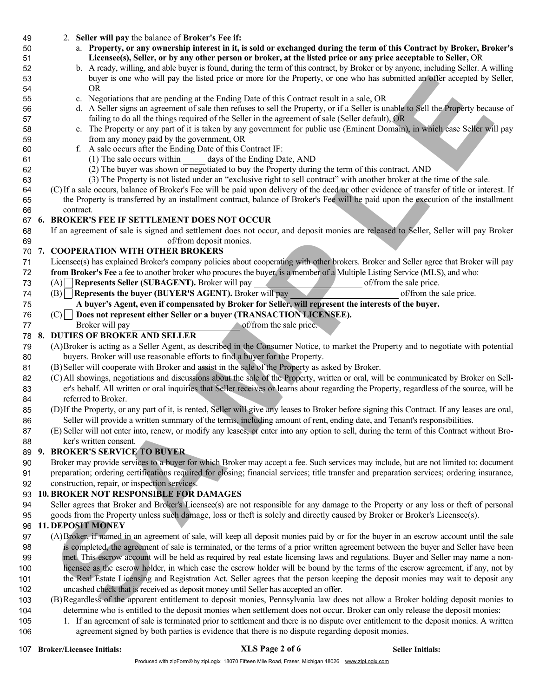- 2. Seller will pay the balance of Broker's Fee if:
- a. Property, or any ownership interest in it, is sold or exchanged during the term of this Contract by Broker, Broker's Licensee(s), Seller, or by any other person or broker, at the listed price or any price acceptable to Seller, OR
- b. A ready, willing, and able buyer is found, during the term of this contract, by Broker or by anyone, including Seller. A willing buyer is one who will pay the listed price or more for the Property, or one who has submitted an offer accepted by Seller, OR
- c. Negotiations that are pending at the Ending Date of this Contract result in a sale, OR
- d. A Seller signs an agreement of sale then refuses to sell the Property, or if a Seller is unable to Sell the Property because of failing to do all the things required of the Seller in the agreement of sale (Seller default), OR
- e. The Property or any part of it is taken by any government for public use (Eminent Domain), in which case Seller will pay from any money paid by the government, OR
- f. A sale occurs after the Ending Date of this Contract IF:
- (1) The sale occurs within days of the Ending Date, AND
- (2) The buyer was shown or negotiated to buy the Property during the term of this contract, AND
- (3) The Property is not listed under an "exclusive right to sell contract" with another broker at the time of the sale.
- (C)If a sale occurs, balance of Broker's Fee will be paid upon delivery of the deed or other evidence of transfer of title or interest. If the Property is transferred by an installment contract, balance of Broker's Fee will be paid upon the execution of the installment contract.

### 6. BROKER'S FEE IF SETTLEMENT DOES NOT OCCUR

If an agreement of sale is signed and settlement does not occur, and deposit monies are released to Seller, Seller will pay Broker

### of/from deposit monies. 7. COOPERATION WITH OTHER BROKERS

- Licensee(s) has explained Broker's company policies about cooperating with other brokers. Broker and Seller agree that Broker will pay
- from Broker's Fee a fee to another broker who procures the buyer, is a member of a Multiple Listing Service (MLS), and who:
- 73 (A) Represents Seller (SUBAGENT). Broker will pay of from the sale price.
- 74 (B) Represents the buyer (BUYER'S AGENT). Broker will pay of from the sale price. A buyer's Agent, even if compensated by Broker for Seller, will represent the interests of the buyer.
- $(C)$  Does not represent either Seller or a buyer (TRANSACTION LICENSEE).
- 77 Broker will pay broker of/from the sale price.

### 8. DUTIES OF BROKER AND SELLER

- (A)Broker is acting as a Seller Agent, as described in the Consumer Notice, to market the Property and to negotiate with potential buyers. Broker will use reasonable efforts to find a buyer for the Property.
- (B)Seller will cooperate with Broker and assist in the sale of the Property as asked by Broker.
- (C)All showings, negotiations and discussions about the sale of the Property, written or oral, will be communicated by Broker on Sell- er's behalf. All written or oral inquiries that Seller receives or learns about regarding the Property, regardless of the source, will be referred to Broker.
- (D)If the Property, or any part of it, is rented, Seller will give any leases to Broker before signing this Contract. If any leases are oral, Seller will provide a written summary of the terms, including amount of rent, ending date, and Tenant's responsibilities.
- (E)Seller will not enter into, renew, or modify any leases, or enter into any option to sell, during the term of this Contract without Bro-ker's written consent.

### 9. BROKER'S SERVICE TO BUYER

- Broker may provide services to a buyer for which Broker may accept a fee. Such services may include, but are not limited to: document
- preparation; ordering certifications required for closing; financial services; title transfer and preparation services; ordering insurance, construction, repair, or inspection services.

### 10. BROKER NOT RESPONSIBLE FOR DAMAGES

- Seller agrees that Broker and Broker's Licensee(s) are not responsible for any damage to the Property or any loss or theft of personal
- goods from the Property unless such damage, loss or theft is solely and directly caused by Broker or Broker's Licensee(s).

### 11. DEPOSIT MONEY

- They is no who will provide the oriented in the Property, areas who has uniformly in the simulation of the simulation of the simulation of the simulation of the simulation of the simulation of the simulation of the simulat (A)Broker, if named in an agreement of sale, will keep all deposit monies paid by or for the buyer in an escrow account until the sale is completed, the agreement of sale is terminated, or the terms of a prior written agreement between the buyer and Seller have been met. This escrow account will be held as required by real estate licensing laws and regulations. Buyer and Seller may name a non- licensee as the escrow holder, in which case the escrow holder will be bound by the terms of the escrow agreement, if any, not by the Real Estate Licensing and Registration Act. Seller agrees that the person keeping the deposit monies may wait to deposit any uncashed check that is received as deposit money until Seller has accepted an offer.
- (B)Regardless of the apparent entitlement to deposit monies, Pennsylvania law does not allow a Broker holding deposit monies to determine who is entitled to the deposit monies when settlement does not occur. Broker can only release the deposit monies:
- 1. If an agreement of sale is terminated prior to settlement and there is no dispute over entitlement to the deposit monies. A written
- agreement signed by both parties is evidence that there is no dispute regarding deposit monies.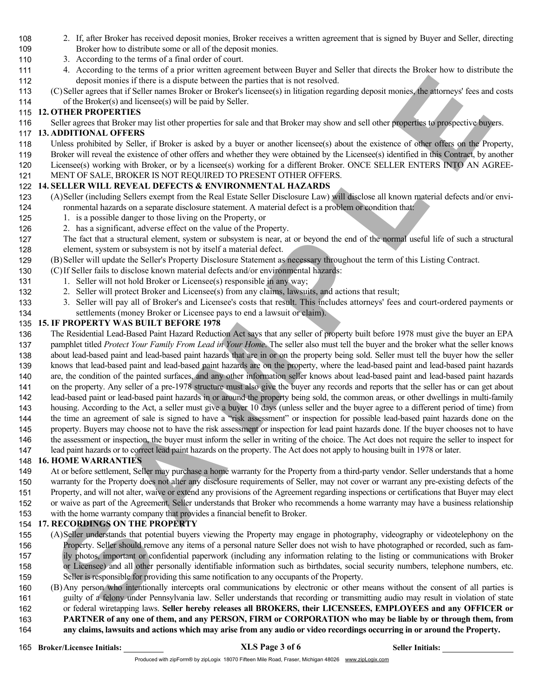- 2. If, after Broker has received deposit monies, Broker receives a written agreement that is signed by Buyer and Seller, directing Broker how to distribute some or all of the deposit monies.
- 3. According to the terms of a final order of court.
- 4. According to the terms of a prior written agreement between Buyer and Seller that directs the Broker how to distribute the deposit monies if there is a dispute between the parties that is not resolved.
- (C)Seller agrees that if Seller names Broker or Broker's licensee(s) in litigation regarding deposit monies, the attorneys' fees and costs of the Broker(s) and licensee(s) will be paid by Seller.

### 12. OTHER PROPERTIES

Seller agrees that Broker may list other properties for sale and that Broker may show and sell other properties to prospective buyers.

### 13. ADDITIONAL OFFERS

- Unless prohibited by Seller, if Broker is asked by a buyer or another licensee(s) about the existence of other offers on the Property,
- Broker will reveal the existence of other offers and whether they were obtained by the Licensee(s) identified in this Contract, by another
- Licensee(s) working with Broker, or by a licensee(s) working for a different Broker. ONCE SELLER ENTERS INTO AN AGREE-
- MENT OF SALE, BROKER IS NOT REQUIRED TO PRESENT OTHER OFFERS.

# 14. SELLER WILL REVEAL DEFECTS & ENVIRONMENTAL HAZARDS

- (A)Seller (including Sellers exempt from the Real Estate Seller Disclosure Law) will disclose all known material defects and/or envi-ronmental hazards on a separate disclosure statement. A material defect is a problem or condition that:
- 125 1. is a possible danger to those living on the Property, or
- 2. has a significant, adverse effect on the value of the Property.
- The fact that a structural element, system or subsystem is near, at or beyond the end of the normal useful life of such a structural element, system or subsystem is not by itself a material defect.
- (B)Seller will update the Seller's Property Disclosure Statement as necessary throughout the term of this Listing Contract.
- (C)If Seller fails to disclose known material defects and/or environmental hazards:
- 131 1. Seller will not hold Broker or Licensee(s) responsible in any way;
- 2. Seller will protect Broker and Licensee(s) from any claims, lawsuits, and actions that result;
- 3. Seller will pay all of Broker's and Licensee's costs that result. This includes attorneys' fees and court-ordered payments or settlements (money Broker or Licensee pays to end a lawsuit or claim).

# 15. IF PROPERTY WAS BUILT BEFORE 1978

- The Residential Lead-Based Paint Hazard Reduction Act says that any seller of property built before 1978 must give the buyer an EPA
- (dyster speech to the 1s of the forest by the form of the revolved in the resolution of the speech methods in the speech methods in the speech methods in the speech methods in the speech methods in the speech methods in th 137 pamphlet titled Protect Your Family From Lead in Your Home. The seller also must tell the buyer and the broker what the seller knows about lead-based paint and lead-based paint hazards that are in or on the property being sold. Seller must tell the buyer how the seller knows that lead-based paint and lead-based paint hazards are on the property, where the lead-based paint and lead-based paint hazards are, the condition of the painted surfaces, and any other information seller knows about lead-based paint and lead-based paint hazards 141 on the property. Any seller of a pre-1978 structure must also give the buyer any records and reports that the seller has or can get about lead-based paint or lead-based paint hazards in or around the property being sold, the common areas, or other dwellings in multi-family housing. According to the Act, a seller must give a buyer 10 days (unless seller and the buyer agree to a different period of time) from the time an agreement of sale is signed to have a "risk assessment" or inspection for possible lead-based paint hazards done on the
- property. Buyers may choose not to have the risk assessment or inspection for lead paint hazards done. If the buyer chooses not to have the assessment or inspection, the buyer must inform the seller in writing of the choice. The Act does not require the seller to inspect for
- lead paint hazards or to correct lead paint hazards on the property. The Act does not apply to housing built in 1978 or later.

# 16. HOME WARRANTIES

- At or before settlement, Seller may purchase a home warranty for the Property from a third-party vendor. Seller understands that a home warranty for the Property does not alter any disclosure requirements of Seller, may not cover or warrant any pre-existing defects of the Property, and will not alter, waive or extend any provisions of the Agreement regarding inspections or certifications that Buyer may elect
- or waive as part of the Agreement. Seller understands that Broker who recommends a home warranty may have a business relationship
- with the home warranty company that provides a financial benefit to Broker.

# 17. RECORDINGS ON THE PROPERTY

- (A)Seller understands that potential buyers viewing the Property may engage in photography, videography or videotelephony on the Property. Seller should remove any items of a personal nature Seller does not wish to have photographed or recorded, such as fam- ily photos, important or confidential paperwork (including any information relating to the listing or communications with Broker or Licensee) and all other personally identifiable information such as birthdates, social security numbers, telephone numbers, etc. Seller is responsible for providing this same notification to any occupants of the Property.
- (B)Any person who intentionally intercepts oral communications by electronic or other means without the consent of all parties is guilty of a felony under Pennsylvania law. Seller understands that recording or transmitting audio may result in violation of state or federal wiretapping laws. Seller hereby releases all BROKERS, their LICENSEES, EMPLOYEES and any OFFICER or PARTNER of any one of them, and any PERSON, FIRM or CORPORATION who may be liable by or through them, from
- any claims, lawsuits and actions which may arise from any audio or video recordings occurring in or around the Property.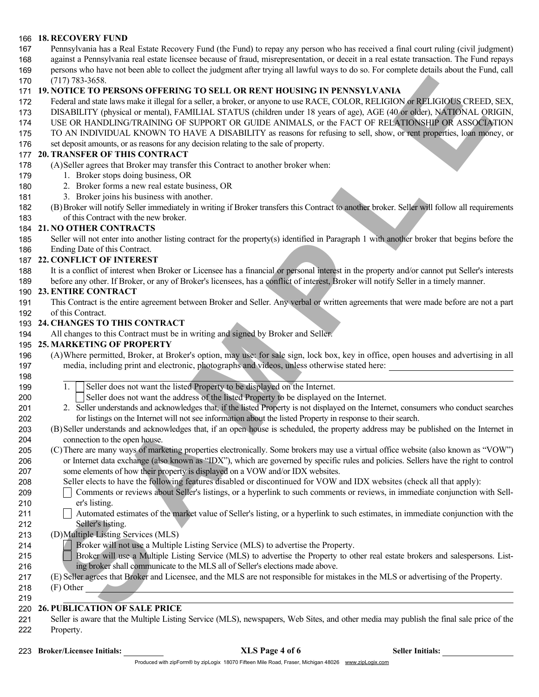### 18. RECOVERY FUND

- Pennsylvania has a Real Estate Recovery Fund (the Fund) to repay any person who has received a final court ruling (civil judgment)
- against a Pennsylvania real estate licensee because of fraud, misrepresentation, or deceit in a real estate transaction. The Fund repays
- persons who have not been able to collect the judgment after trying all lawful ways to do so. For complete details about the Fund, call
- (717) 783-3658.

### 19. NOTICE TO PERSONS OFFERING TO SELL OR RENT HOUSING IN PENNSYLVANIA

- 172 Federal and state laws make it illegal for a seller, a broker, or anyone to use RACE, COLOR, RELIGION or RELIGIOUS CREED, SEX,
- DISABILITY (physical or mental), FAMILIAL STATUS (children under 18 years of age), AGE (40 or older), NATIONAL ORIGIN,
- USE OR HANDLING/TRAINING OF SUPPORT OR GUIDE ANIMALS, or the FACT OF RELATIONSHIP OR ASSOCIATION
- TO AN INDIVIDUAL KNOWN TO HAVE A DISABILITY as reasons for refusing to sell, show, or rent properties, loan money, or
- set deposit amounts, or as reasons for any decision relating to the sale of property.

### 20. TRANSFER OF THIS CONTRACT

- (A)Seller agrees that Broker may transfer this Contract to another broker when:
- 179 1. Broker stops doing business, OR
- 2. Broker forms a new real estate business, OR
- 3. Broker joins his business with another.
- (B)Broker will notify Seller immediately in writing if Broker transfers this Contract to another broker. Seller will follow all requirements of this Contract with the new broker.

### 21. NO OTHER CONTRACTS

 Seller will not enter into another listing contract for the property(s) identified in Paragraph 1 with another broker that begins before the Ending Date of this Contract.

### 22. CONFLICT OF INTEREST

 It is a conflict of interest when Broker or Licensee has a financial or personal interest in the property and/or cannot put Seller's interests before any other. If Broker, or any of Broker's licensees, has a conflict of interest, Broker will notify Seller in a timely manner.

## 23. ENTIRE CONTRACT

 This Contract is the entire agreement between Broker and Seller. Any verbal or written agreements that were made before are not a part of this Contract.

### 24. CHANGES TO THIS CONTRACT

All changes to this Contract must be in writing and signed by Broker and Seller.

### 25. MARKETING OF PROPERTY

- (A)Where permitted, Broker, at Broker's option, may use: for sale sign, lock box, key in office, open houses and advertising in all media, including print and electronic, photographs and videos, unless otherwise stated here:
- 199 1. Seller does not want the listed Property to be displayed on the Internet.
- 200 Seller does not want the address of the listed Property to be displayed on the Internet.
- 2. Seller understands and acknowledges that, if the listed Property is not displayed on the Internet, consumers who conduct searches for listings on the Internet will not see information about the listed Property in response to their search.
- (B)Seller understands and acknowledges that, if an open house is scheduled, the property address may be published on the Internet in connection to the open house.
- (71), 733-1565<br>
The Counter of the Solicity of TO SELL OR RENT HOUSING INTENSIVE AND A CORPORATION OF THE CONSILER CONSILER AND INTERFERENCE (SUSPENDITE A CONSILER AND A STRAIN CONSILER AND A STRAIN CONSILER AND CONSILER A (C)There are many ways of marketing properties electronically. Some brokers may use a virtual office website (also known as "VOW") or Internet data exchange (also known as "IDX"), which are governed by specific rules and policies. Sellers have the right to control some elements of how their property is displayed on a VOW and/or IDX websites.
- Seller elects to have the following features disabled or discontinued for VOW and IDX websites (check all that apply):
- Comments or reviews about Seller's listings, or a hyperlink to such comments or reviews, in immediate conjunction with Sell-er's listing.
- 211 Automated estimates of the market value of Seller's listing, or a hyperlink to such estimates, in immediate conjunction with the Seller's listing.
- (D)Multiple Listing Services (MLS)
- Broker will not use a Multiple Listing Service (MLS) to advertise the Property.
- 215 Broker will use a Multiple Listing Service (MLS) to advertise the Property to other real estate brokers and salespersons. List-ing broker shall communicate to the MLS all of Seller's elections made above.
- (E)Seller agrees that Broker and Licensee, and the MLS are not responsible for mistakes in the MLS or advertising of the Property.
- (F) Other

### 26. PUBLICATION OF SALE PRICE

- Seller is aware that the Multiple Listing Service (MLS), newspapers, Web Sites, and other media may publish the final sale price of the Property.
- 223 Broker/Licensee Initials: XLS Page 4 of 6 Seller Initials: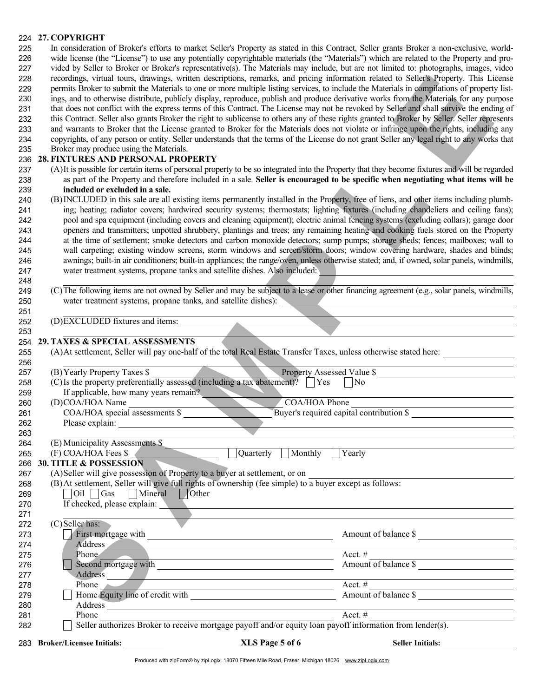# 224 27. COPYRIGHT

| 225 | In consideration of Broker's efforts to market Seller's Property as stated in this Contract, Seller grants Broker a non-exclusive, world-      |
|-----|------------------------------------------------------------------------------------------------------------------------------------------------|
| 226 | wide license (the "License") to use any potentially copyrightable materials (the "Materials") which are related to the Property and pro-       |
| 227 | vided by Seller to Broker or Broker's representative(s). The Materials may include, but are not limited to: photographs, images, video         |
| 228 | recordings, virtual tours, drawings, written descriptions, remarks, and pricing information related to Seller's Property. This License         |
| 229 | permits Broker to submit the Materials to one or more multiple listing services, to include the Materials in compilations of property list-    |
| 230 | ings, and to otherwise distribute, publicly display, reproduce, publish and produce derivative works from the Materials for any purpose        |
| 231 | that does not conflict with the express terms of this Contract. The License may not be revoked by Seller and shall survive the ending of       |
| 232 | this Contract. Seller also grants Broker the right to sublicense to others any of these rights granted to Broker by Seller. Seller represents  |
| 233 | and warrants to Broker that the License granted to Broker for the Materials does not violate or infringe upon the rights, including any        |
| 234 | copyrights, of any person or entity. Seller understands that the terms of the License do not grant Seller any legal right to any works that    |
| 235 | Broker may produce using the Materials.                                                                                                        |
|     | 236 28. FIXTURES AND PERSONAL PROPERTY                                                                                                         |
| 237 | (A) It is possible for certain items of personal property to be so integrated into the Property that they become fixtures and will be regarded |

### 29. TAXES & SPECIAL ASSESSMENTS

| 255 |  |  |  |  | (A) At settlement, Seller will pay one-half of the total Real Estate Transfer Taxes, unless otherwise stated here: |
|-----|--|--|--|--|--------------------------------------------------------------------------------------------------------------------|
|-----|--|--|--|--|--------------------------------------------------------------------------------------------------------------------|

| 228<br>229 |                                                                                                                                                     |                                                                                                                                                                                                                                | recordings, virtual tours, drawings, written descriptions, remarks, and pricing information related to Seller's Property. This License<br>permits Broker to submit the Materials to one or more multiple listing services, to include the Materials in compilations of property list- |  |
|------------|-----------------------------------------------------------------------------------------------------------------------------------------------------|--------------------------------------------------------------------------------------------------------------------------------------------------------------------------------------------------------------------------------|---------------------------------------------------------------------------------------------------------------------------------------------------------------------------------------------------------------------------------------------------------------------------------------|--|
| 230        |                                                                                                                                                     |                                                                                                                                                                                                                                | ings, and to otherwise distribute, publicly display, reproduce, publish and produce derivative works from the Materials for any purpose                                                                                                                                               |  |
| 231        |                                                                                                                                                     |                                                                                                                                                                                                                                | that does not conflict with the express terms of this Contract. The License may not be revoked by Seller and shall survive the ending of                                                                                                                                              |  |
| 232        |                                                                                                                                                     |                                                                                                                                                                                                                                | this Contract. Seller also grants Broker the right to sublicense to others any of these rights granted to Broker by Seller. Seller represents                                                                                                                                         |  |
| 233        |                                                                                                                                                     |                                                                                                                                                                                                                                | and warrants to Broker that the License granted to Broker for the Materials does not violate or infringe upon the rights, including any                                                                                                                                               |  |
| 234        |                                                                                                                                                     |                                                                                                                                                                                                                                | copyrights, of any person or entity. Seller understands that the terms of the License do not grant Seller any legal right to any works that                                                                                                                                           |  |
| 235        | Broker may produce using the Materials.                                                                                                             |                                                                                                                                                                                                                                |                                                                                                                                                                                                                                                                                       |  |
| 236        | 28. FIXTURES AND PERSONAL PROPERTY                                                                                                                  |                                                                                                                                                                                                                                |                                                                                                                                                                                                                                                                                       |  |
| 237        |                                                                                                                                                     |                                                                                                                                                                                                                                | (A) It is possible for certain items of personal property to be so integrated into the Property that they become fixtures and will be regarded                                                                                                                                        |  |
| 238        |                                                                                                                                                     |                                                                                                                                                                                                                                | as part of the Property and therefore included in a sale. Seller is encouraged to be specific when negotiating what items will be                                                                                                                                                     |  |
| 239        | included or excluded in a sale.                                                                                                                     |                                                                                                                                                                                                                                |                                                                                                                                                                                                                                                                                       |  |
| 240        |                                                                                                                                                     |                                                                                                                                                                                                                                | (B) INCLUDED in this sale are all existing items permanently installed in the Property, free of liens, and other items including plumb-                                                                                                                                               |  |
| 241        |                                                                                                                                                     |                                                                                                                                                                                                                                | ing; heating; radiator covers; hardwired security systems; thermostats; lighting fixtures (including chandeliers and ceiling fans);                                                                                                                                                   |  |
| 242        |                                                                                                                                                     |                                                                                                                                                                                                                                | pool and spa equipment (including covers and cleaning equipment); electric animal fencing systems (excluding collars); garage door                                                                                                                                                    |  |
| 243        |                                                                                                                                                     |                                                                                                                                                                                                                                | openers and transmitters; unpotted shrubbery, plantings and trees; any remaining heating and cooking fuels stored on the Property                                                                                                                                                     |  |
| 244        |                                                                                                                                                     |                                                                                                                                                                                                                                | at the time of settlement; smoke detectors and carbon monoxide detectors; sump pumps; storage sheds; fences; mailboxes; wall to                                                                                                                                                       |  |
| 245        |                                                                                                                                                     |                                                                                                                                                                                                                                | wall carpeting; existing window screens, storm windows and screen/storm doors; window covering hardware, shades and blinds;                                                                                                                                                           |  |
| 246        |                                                                                                                                                     |                                                                                                                                                                                                                                | awnings; built-in air conditioners; built-in appliances; the range/oven, unless otherwise stated; and, if owned, solar panels, windmills,                                                                                                                                             |  |
| 247        | water treatment systems, propane tanks and satellite dishes. Also included:                                                                         |                                                                                                                                                                                                                                |                                                                                                                                                                                                                                                                                       |  |
| 248        |                                                                                                                                                     |                                                                                                                                                                                                                                |                                                                                                                                                                                                                                                                                       |  |
| 249        |                                                                                                                                                     |                                                                                                                                                                                                                                | (C) The following items are not owned by Seller and may be subject to a lease or other financing agreement (e.g., solar panels, windmills,                                                                                                                                            |  |
| 250        | water treatment systems, propane tanks, and satellite dishes):                                                                                      |                                                                                                                                                                                                                                | <u> Andreas Andreas Andreas Andreas Andreas Andreas Andreas Andreas Andreas Andreas Andreas Andreas Andreas Andreas Andreas Andreas Andreas Andreas Andreas Andreas Andreas Andreas Andreas Andreas Andreas Andreas Andreas Andr</u>                                                  |  |
| 251        |                                                                                                                                                     |                                                                                                                                                                                                                                |                                                                                                                                                                                                                                                                                       |  |
| 252        | (D) EXCLUDED fixtures and items:                                                                                                                    |                                                                                                                                                                                                                                |                                                                                                                                                                                                                                                                                       |  |
| 253        |                                                                                                                                                     |                                                                                                                                                                                                                                |                                                                                                                                                                                                                                                                                       |  |
| 254        | 29. TAXES & SPECIAL ASSESSMENTS                                                                                                                     |                                                                                                                                                                                                                                |                                                                                                                                                                                                                                                                                       |  |
| 255        |                                                                                                                                                     |                                                                                                                                                                                                                                | (A) At settlement, Seller will pay one-half of the total Real Estate Transfer Taxes, unless otherwise stated here:                                                                                                                                                                    |  |
| 256        |                                                                                                                                                     |                                                                                                                                                                                                                                |                                                                                                                                                                                                                                                                                       |  |
| 257        | Property Assessed Value \$<br>$(B)$ Yearly Property Taxes \$<br>(C) Is the property preferentially assessed (including a tax abatement)? $\Box$ Yes |                                                                                                                                                                                                                                |                                                                                                                                                                                                                                                                                       |  |
| 258        |                                                                                                                                                     |                                                                                                                                                                                                                                | $\overline{\rm No}$                                                                                                                                                                                                                                                                   |  |
| 259        | If applicable, how many years remain?                                                                                                               |                                                                                                                                                                                                                                |                                                                                                                                                                                                                                                                                       |  |
| 260        | (D)COA/HOA Name                                                                                                                                     | COA/HOA Phone                                                                                                                                                                                                                  | Buyer's required capital contribution \$                                                                                                                                                                                                                                              |  |
| 261        | $COA/HOA$ special assessments $\$                                                                                                                   |                                                                                                                                                                                                                                |                                                                                                                                                                                                                                                                                       |  |
| 262        | Please explain:<br><u> 1989 - Jan Barbara Barat, manala</u>                                                                                         |                                                                                                                                                                                                                                |                                                                                                                                                                                                                                                                                       |  |
| 263<br>264 | (E) Municipality Assessments \$                                                                                                                     |                                                                                                                                                                                                                                |                                                                                                                                                                                                                                                                                       |  |
|            | (F) COA/HOA Fees \$                                                                                                                                 | Monthly<br>Quarterly                                                                                                                                                                                                           | Yearly                                                                                                                                                                                                                                                                                |  |
| 265        | 266 30. TITLE & POSSESSION                                                                                                                          |                                                                                                                                                                                                                                |                                                                                                                                                                                                                                                                                       |  |
| 267        | (A)Seller will give possession of Property to a buyer at settlement, or on                                                                          |                                                                                                                                                                                                                                |                                                                                                                                                                                                                                                                                       |  |
| 268        | (B) At settlement, Seller will give full rights of ownership (fee simple) to a buyer except as follows:                                             |                                                                                                                                                                                                                                |                                                                                                                                                                                                                                                                                       |  |
| 269        | $\overline{\text{Oil}}$ $\overline{\text{Gas}}$<br>Mineral Other                                                                                    |                                                                                                                                                                                                                                |                                                                                                                                                                                                                                                                                       |  |
| 270        |                                                                                                                                                     |                                                                                                                                                                                                                                |                                                                                                                                                                                                                                                                                       |  |
| 271        |                                                                                                                                                     |                                                                                                                                                                                                                                | If checked, please explain:                                                                                                                                                                                                                                                           |  |
| 272        | (C) Seller has:                                                                                                                                     |                                                                                                                                                                                                                                |                                                                                                                                                                                                                                                                                       |  |
| 273        |                                                                                                                                                     |                                                                                                                                                                                                                                | Amount of balance \$                                                                                                                                                                                                                                                                  |  |
| 274        | <b>Address</b>                                                                                                                                      |                                                                                                                                                                                                                                |                                                                                                                                                                                                                                                                                       |  |
| 275        | Phone                                                                                                                                               | <u> 1989 - Johann Barn, mars eta biztanleria (h. 1989).</u>                                                                                                                                                                    | Acct. $#$                                                                                                                                                                                                                                                                             |  |
| 276        |                                                                                                                                                     |                                                                                                                                                                                                                                | <u> 1989 - Johann Barbara, martin amerikan ba</u><br>Amount of balance \$                                                                                                                                                                                                             |  |
| 277        |                                                                                                                                                     | Address and the contract of the contract of the contract of the contract of the contract of the contract of the contract of the contract of the contract of the contract of the contract of the contract of the contract of th |                                                                                                                                                                                                                                                                                       |  |
| 278        | Phone                                                                                                                                               |                                                                                                                                                                                                                                |                                                                                                                                                                                                                                                                                       |  |
| 279        |                                                                                                                                                     |                                                                                                                                                                                                                                | Acct. #<br>Amount of balance \$                                                                                                                                                                                                                                                       |  |
| 280        |                                                                                                                                                     |                                                                                                                                                                                                                                |                                                                                                                                                                                                                                                                                       |  |
| 281        | Phone                                                                                                                                               | Address The Manual Address The Manual Address The Manual Address The Manual Address The Manual Address The Manual Address The Manual Address The Manual Address The Manual Address The Manual Address The Manual Address The M | Acct. #                                                                                                                                                                                                                                                                               |  |
| 282        |                                                                                                                                                     | Phone $\frac{\text{Acet. }\#}{\text{Seller authorities Broken to receive mortgage payoff and/or equity loan payoff information from lender(s).}}$                                                                              |                                                                                                                                                                                                                                                                                       |  |
|            |                                                                                                                                                     |                                                                                                                                                                                                                                |                                                                                                                                                                                                                                                                                       |  |
|            | 283 Broker/Licensee Initials: ___________                                                                                                           | XLS Page 5 of 6                                                                                                                                                                                                                |                                                                                                                                                                                                                                                                                       |  |

Produced with zipForm® by zipLogix 18070 Fifteen Mile Road, Fraser, Michigan 48026 www.zipLogix.com